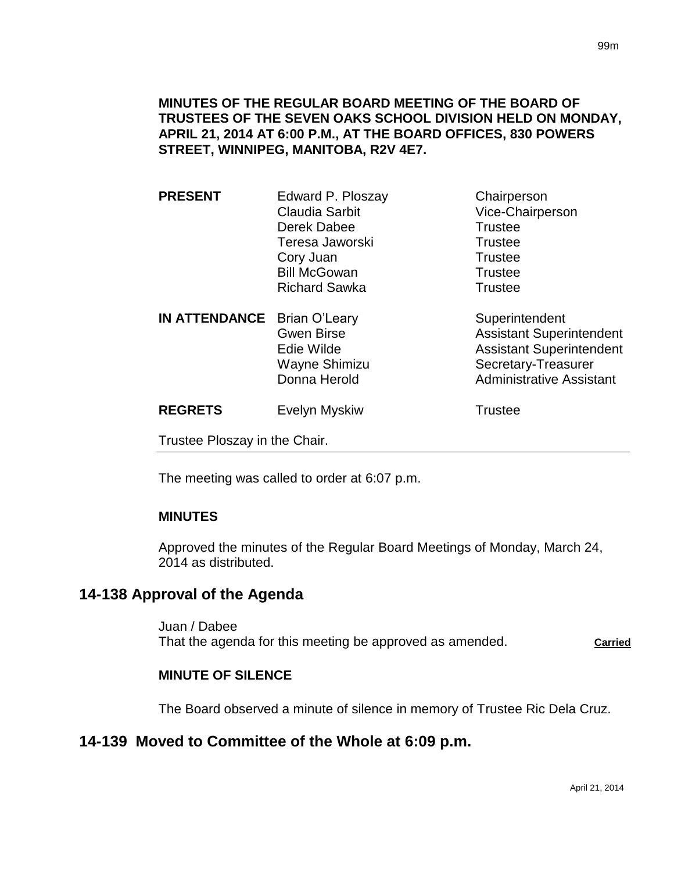## **MINUTES OF THE REGULAR BOARD MEETING OF THE BOARD OF TRUSTEES OF THE SEVEN OAKS SCHOOL DIVISION HELD ON MONDAY, APRIL 21, 2014 AT 6:00 P.M., AT THE BOARD OFFICES, 830 POWERS STREET, WINNIPEG, MANITOBA, R2V 4E7.**

| <b>PRESENT</b>                | Edward P. Ploszay    | Chairperson                     |
|-------------------------------|----------------------|---------------------------------|
|                               | Claudia Sarbit       | Vice-Chairperson                |
|                               | Derek Dabee          | <b>Trustee</b>                  |
|                               | Teresa Jaworski      | <b>Trustee</b>                  |
|                               | Cory Juan            | Trustee                         |
|                               | <b>Bill McGowan</b>  | <b>Trustee</b>                  |
|                               | <b>Richard Sawka</b> | <b>Trustee</b>                  |
| <b>IN ATTENDANCE</b>          | Brian O'Leary        | Superintendent                  |
|                               | <b>Gwen Birse</b>    | <b>Assistant Superintendent</b> |
|                               | Edie Wilde           | <b>Assistant Superintendent</b> |
|                               | Wayne Shimizu        | Secretary-Treasurer             |
|                               | Donna Herold         | <b>Administrative Assistant</b> |
| <b>REGRETS</b>                | Evelyn Myskiw        | <b>Trustee</b>                  |
| Trustee Ploszay in the Chair. |                      |                                 |
|                               |                      |                                 |

The meeting was called to order at 6:07 p.m.

### **MINUTES**

Approved the minutes of the Regular Board Meetings of Monday, March 24, 2014 as distributed.

## **14-138 Approval of the Agenda**

Juan / Dabee That the agenda for this meeting be approved as amended. **Carried**

#### **MINUTE OF SILENCE**

The Board observed a minute of silence in memory of Trustee Ric Dela Cruz.

## **14-139 Moved to Committee of the Whole at 6:09 p.m.**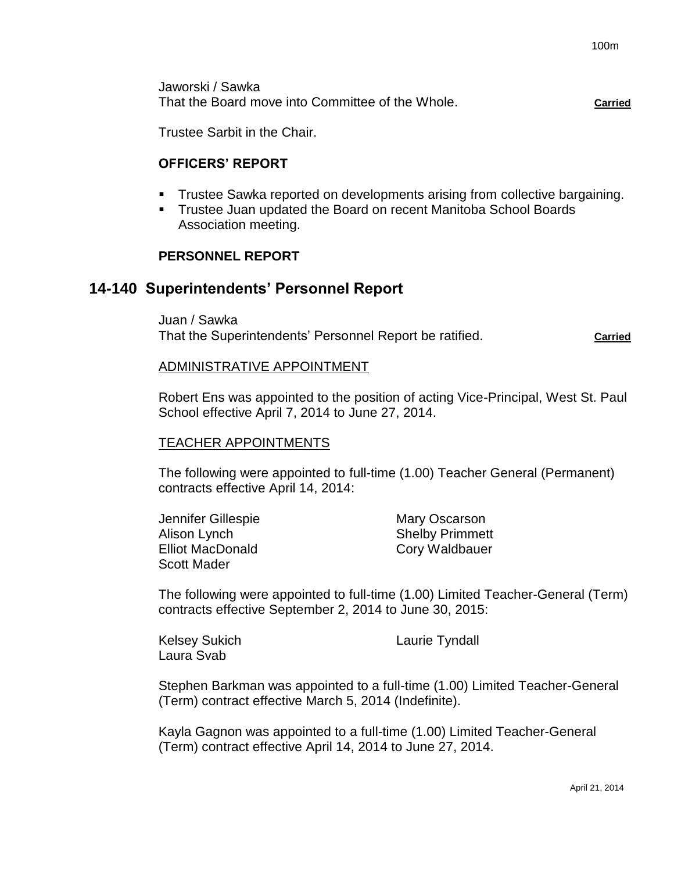Jaworski / Sawka That the Board move into Committee of the Whole. **Carried**

Trustee Sarbit in the Chair.

### **OFFICERS' REPORT**

- Trustee Sawka reported on developments arising from collective bargaining.
- Trustee Juan updated the Board on recent Manitoba School Boards Association meeting.

### **PERSONNEL REPORT**

## **14-140 Superintendents' Personnel Report**

Juan / Sawka

That the Superintendents' Personnel Report be ratified. **Carried** Carried

#### ADMINISTRATIVE APPOINTMENT

Robert Ens was appointed to the position of acting Vice-Principal, West St. Paul School effective April 7, 2014 to June 27, 2014.

#### TEACHER APPOINTMENTS

The following were appointed to full-time (1.00) Teacher General (Permanent) contracts effective April 14, 2014:

Jennifer Gillespie Mary Oscarson Alison Lynch Shelby Primmett Elliot MacDonald Cory Waldbauer Scott Mader

The following were appointed to full-time (1.00) Limited Teacher-General (Term) contracts effective September 2, 2014 to June 30, 2015:

Kelsey Sukich **Laurie Tyndall** Laura Svab

Stephen Barkman was appointed to a full-time (1.00) Limited Teacher-General (Term) contract effective March 5, 2014 (Indefinite).

Kayla Gagnon was appointed to a full-time (1.00) Limited Teacher-General (Term) contract effective April 14, 2014 to June 27, 2014.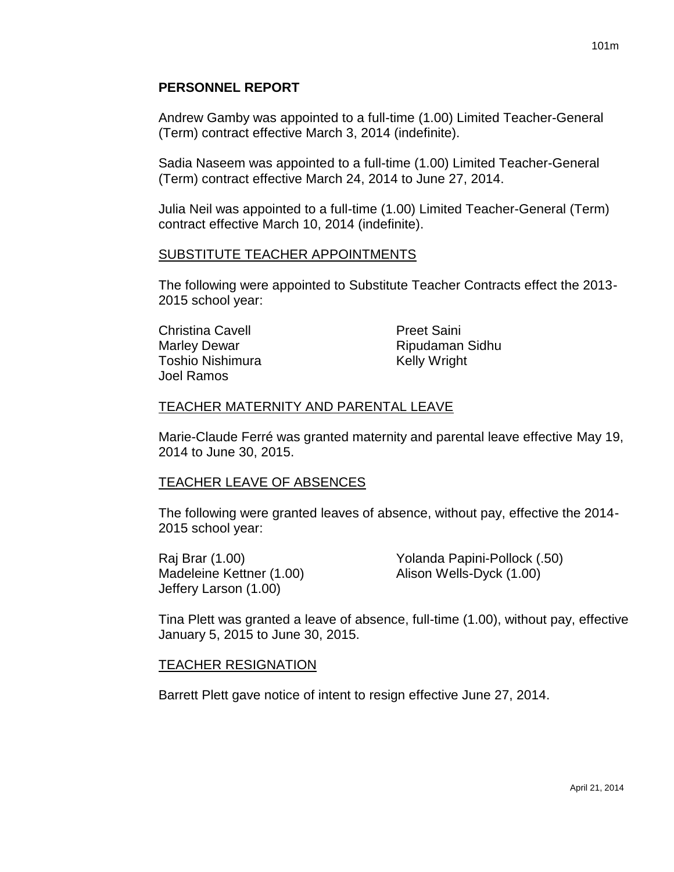## **PERSONNEL REPORT**

Andrew Gamby was appointed to a full-time (1.00) Limited Teacher-General (Term) contract effective March 3, 2014 (indefinite).

Sadia Naseem was appointed to a full-time (1.00) Limited Teacher-General (Term) contract effective March 24, 2014 to June 27, 2014.

Julia Neil was appointed to a full-time (1.00) Limited Teacher-General (Term) contract effective March 10, 2014 (indefinite).

#### SUBSTITUTE TEACHER APPOINTMENTS

The following were appointed to Substitute Teacher Contracts effect the 2013- 2015 school year:

Christina Cavell **Preet Saini** Marley Dewar **Ripudaman Sidhu** Toshio Nishimura **Kelly Wright** Joel Ramos

## TEACHER MATERNITY AND PARENTAL LEAVE

Marie-Claude Ferré was granted maternity and parental leave effective May 19, 2014 to June 30, 2015.

#### TEACHER LEAVE OF ABSENCES

The following were granted leaves of absence, without pay, effective the 2014- 2015 school year:

Madeleine Kettner (1.00) Madeleine Kettner (1.00) Jeffery Larson (1.00)

Raj Brar (1.00) Yolanda Papini-Pollock (.50)

Tina Plett was granted a leave of absence, full-time (1.00), without pay, effective January 5, 2015 to June 30, 2015.

## TEACHER RESIGNATION

Barrett Plett gave notice of intent to resign effective June 27, 2014.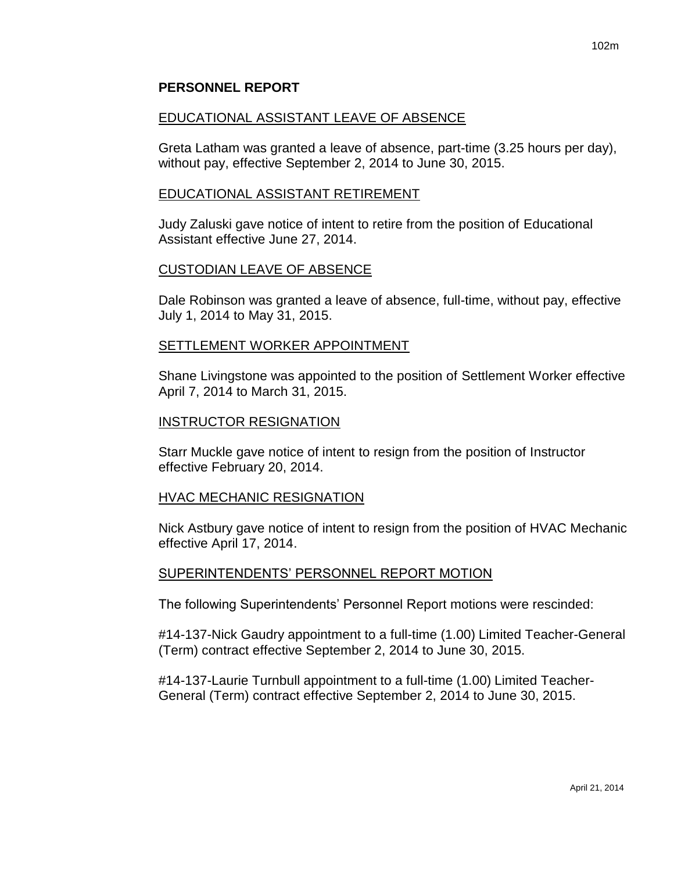### **PERSONNEL REPORT**

#### EDUCATIONAL ASSISTANT LEAVE OF ABSENCE

Greta Latham was granted a leave of absence, part-time (3.25 hours per day), without pay, effective September 2, 2014 to June 30, 2015.

#### EDUCATIONAL ASSISTANT RETIREMENT

Judy Zaluski gave notice of intent to retire from the position of Educational Assistant effective June 27, 2014.

#### CUSTODIAN LEAVE OF ABSENCE

Dale Robinson was granted a leave of absence, full-time, without pay, effective July 1, 2014 to May 31, 2015.

#### SETTLEMENT WORKER APPOINTMENT

Shane Livingstone was appointed to the position of Settlement Worker effective April 7, 2014 to March 31, 2015.

#### INSTRUCTOR RESIGNATION

Starr Muckle gave notice of intent to resign from the position of Instructor effective February 20, 2014.

#### HVAC MECHANIC RESIGNATION

Nick Astbury gave notice of intent to resign from the position of HVAC Mechanic effective April 17, 2014.

#### SUPERINTENDENTS' PERSONNEL REPORT MOTION

The following Superintendents' Personnel Report motions were rescinded:

#14-137-Nick Gaudry appointment to a full-time (1.00) Limited Teacher-General (Term) contract effective September 2, 2014 to June 30, 2015.

#14-137-Laurie Turnbull appointment to a full-time (1.00) Limited Teacher-General (Term) contract effective September 2, 2014 to June 30, 2015.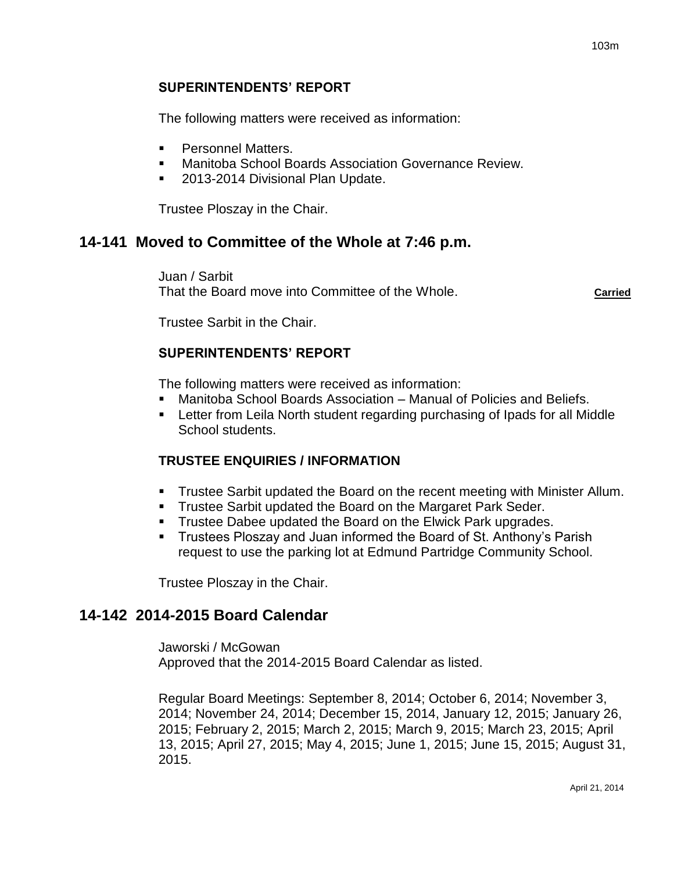## **SUPERINTENDENTS' REPORT**

The following matters were received as information:

- **Personnel Matters.**
- Manitoba School Boards Association Governance Review.
- 2013-2014 Divisional Plan Update.

Trustee Ploszay in the Chair.

## **14-141 Moved to Committee of the Whole at 7:46 p.m.**

Juan / Sarbit That the Board move into Committee of the Whole. **Carried**

Trustee Sarbit in the Chair.

## **SUPERINTENDENTS' REPORT**

The following matters were received as information:

- Manitoba School Boards Association Manual of Policies and Beliefs.
- Letter from Leila North student regarding purchasing of Ipads for all Middle School students.

## **TRUSTEE ENQUIRIES / INFORMATION**

- Trustee Sarbit updated the Board on the recent meeting with Minister Allum.
- **Trustee Sarbit updated the Board on the Margaret Park Seder.**
- **Trustee Dabee updated the Board on the Elwick Park upgrades.**
- Trustees Ploszay and Juan informed the Board of St. Anthony's Parish request to use the parking lot at Edmund Partridge Community School.

Trustee Ploszay in the Chair.

## **14-142 2014-2015 Board Calendar**

Jaworski / McGowan Approved that the 2014-2015 Board Calendar as listed.

Regular Board Meetings: September 8, 2014; October 6, 2014; November 3, 2014; November 24, 2014; December 15, 2014, January 12, 2015; January 26, 2015; February 2, 2015; March 2, 2015; March 9, 2015; March 23, 2015; April 13, 2015; April 27, 2015; May 4, 2015; June 1, 2015; June 15, 2015; August 31, 2015.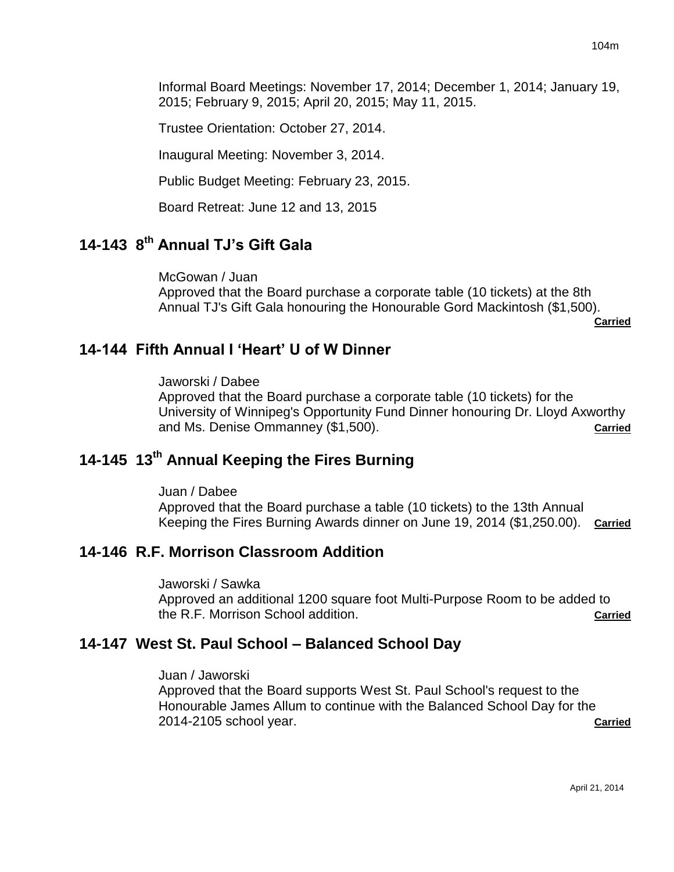Informal Board Meetings: November 17, 2014; December 1, 2014; January 19, 2015; February 9, 2015; April 20, 2015; May 11, 2015.

Trustee Orientation: October 27, 2014.

Inaugural Meeting: November 3, 2014.

Public Budget Meeting: February 23, 2015.

Board Retreat: June 12 and 13, 2015

# **14-143 8 th Annual TJ's Gift Gala**

McGowan / Juan Approved that the Board purchase a corporate table (10 tickets) at the 8th Annual TJ's Gift Gala honouring the Honourable Gord Mackintosh (\$1,500).

**Carried**

## **14-144 Fifth Annual I 'Heart' U of W Dinner**

Jaworski / Dabee

Approved that the Board purchase a corporate table (10 tickets) for the University of Winnipeg's Opportunity Fund Dinner honouring Dr. Lloyd Axworthy and Ms. Denise Ommanney (\$1,500). **Carried**

# **14-145 13th Annual Keeping the Fires Burning**

Juan / Dabee

Approved that the Board purchase a table (10 tickets) to the 13th Annual Keeping the Fires Burning Awards dinner on June 19, 2014 (\$1,250.00). **Carried**

## **14-146 R.F. Morrison Classroom Addition**

Jaworski / Sawka Approved an additional 1200 square foot Multi-Purpose Room to be added to the R.F. Morrison School addition. **Carried**

## **14-147 West St. Paul School – Balanced School Day**

Juan / Jaworski

Approved that the Board supports West St. Paul School's request to the Honourable James Allum to continue with the Balanced School Day for the 2014-2105 school year. **Carried**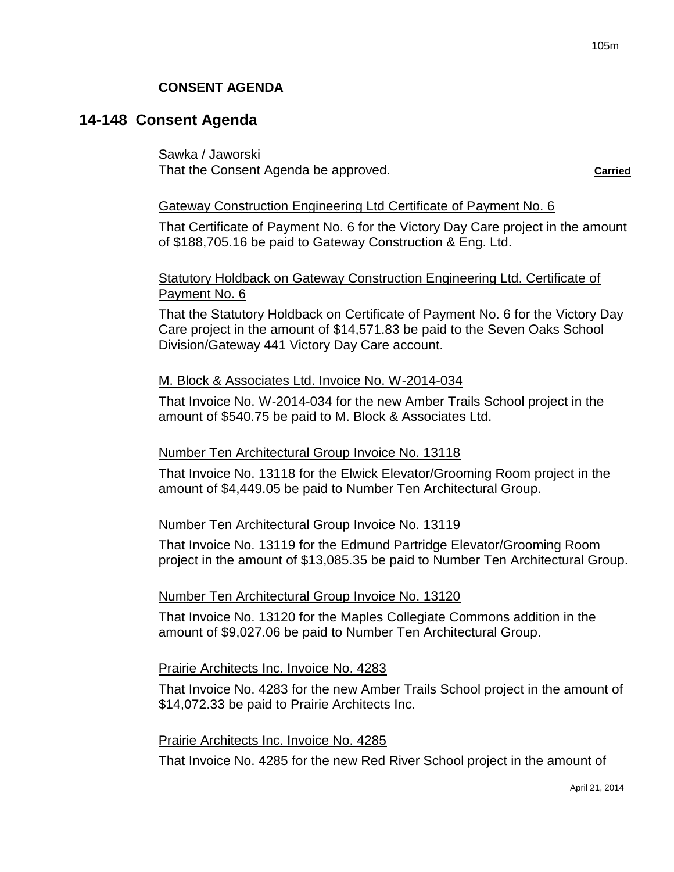## **CONSENT AGENDA**

## **14-148 Consent Agenda**

Sawka / Jaworski That the Consent Agenda be approved. **Carried**

#### Gateway Construction Engineering Ltd Certificate of Payment No. 6

That Certificate of Payment No. 6 for the Victory Day Care project in the amount of \$188,705.16 be paid to Gateway Construction & Eng. Ltd.

### Statutory Holdback on Gateway Construction Engineering Ltd. Certificate of Payment No. 6

That the Statutory Holdback on Certificate of Payment No. 6 for the Victory Day Care project in the amount of \$14,571.83 be paid to the Seven Oaks School Division/Gateway 441 Victory Day Care account.

#### M. Block & Associates Ltd. Invoice No. W-2014-034

That Invoice No. W-2014-034 for the new Amber Trails School project in the amount of \$540.75 be paid to M. Block & Associates Ltd.

#### Number Ten Architectural Group Invoice No. 13118

That Invoice No. 13118 for the Elwick Elevator/Grooming Room project in the amount of \$4,449.05 be paid to Number Ten Architectural Group.

#### Number Ten Architectural Group Invoice No. 13119

That Invoice No. 13119 for the Edmund Partridge Elevator/Grooming Room project in the amount of \$13,085.35 be paid to Number Ten Architectural Group.

#### Number Ten Architectural Group Invoice No. 13120

That Invoice No. 13120 for the Maples Collegiate Commons addition in the amount of \$9,027.06 be paid to Number Ten Architectural Group.

#### Prairie Architects Inc. Invoice No. 4283

That Invoice No. 4283 for the new Amber Trails School project in the amount of \$14,072.33 be paid to Prairie Architects Inc.

#### Prairie Architects Inc. Invoice No. 4285

That Invoice No. 4285 for the new Red River School project in the amount of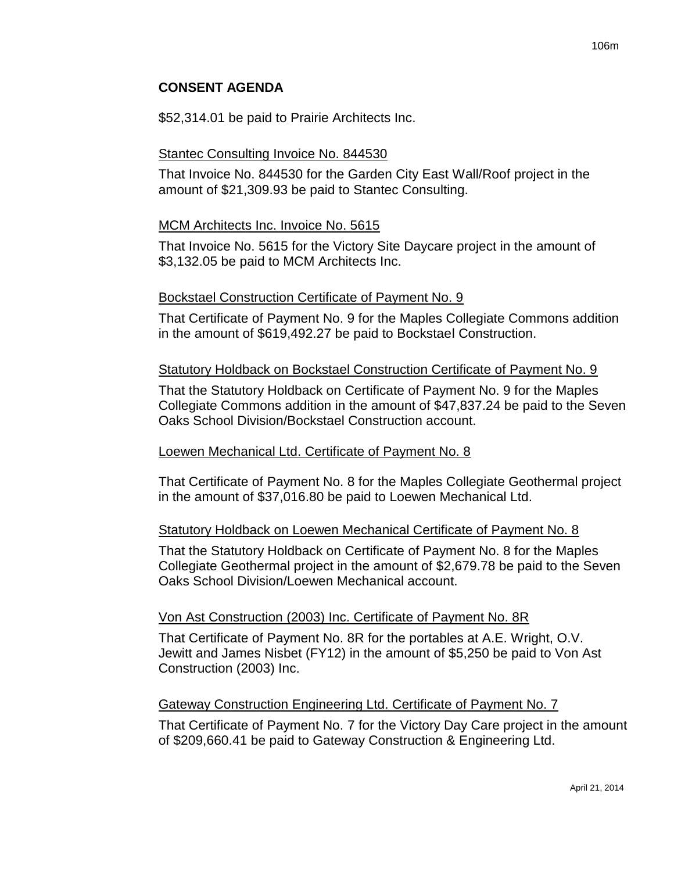## **CONSENT AGENDA**

\$52,314.01 be paid to Prairie Architects Inc.

### Stantec Consulting Invoice No. 844530

That Invoice No. 844530 for the Garden City East Wall/Roof project in the amount of \$21,309.93 be paid to Stantec Consulting.

### MCM Architects Inc. Invoice No. 5615

That Invoice No. 5615 for the Victory Site Daycare project in the amount of \$3,132.05 be paid to MCM Architects Inc.

#### Bockstael Construction Certificate of Payment No. 9

That Certificate of Payment No. 9 for the Maples Collegiate Commons addition in the amount of \$619,492.27 be paid to Bockstael Construction.

### Statutory Holdback on Bockstael Construction Certificate of Payment No. 9

That the Statutory Holdback on Certificate of Payment No. 9 for the Maples Collegiate Commons addition in the amount of \$47,837.24 be paid to the Seven Oaks School Division/Bockstael Construction account.

#### Loewen Mechanical Ltd. Certificate of Payment No. 8

That Certificate of Payment No. 8 for the Maples Collegiate Geothermal project in the amount of \$37,016.80 be paid to Loewen Mechanical Ltd.

## Statutory Holdback on Loewen Mechanical Certificate of Payment No. 8

That the Statutory Holdback on Certificate of Payment No. 8 for the Maples Collegiate Geothermal project in the amount of \$2,679.78 be paid to the Seven Oaks School Division/Loewen Mechanical account.

## Von Ast Construction (2003) Inc. Certificate of Payment No. 8R

That Certificate of Payment No. 8R for the portables at A.E. Wright, O.V. Jewitt and James Nisbet (FY12) in the amount of \$5,250 be paid to Von Ast Construction (2003) Inc.

## Gateway Construction Engineering Ltd. Certificate of Payment No. 7

That Certificate of Payment No. 7 for the Victory Day Care project in the amount of \$209,660.41 be paid to Gateway Construction & Engineering Ltd.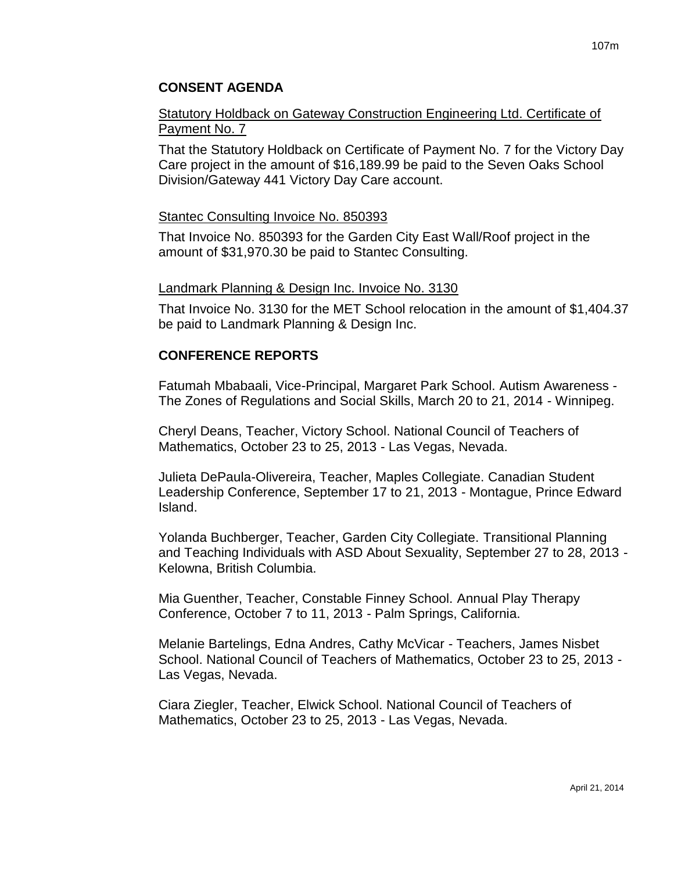## **CONSENT AGENDA**

## Statutory Holdback on Gateway Construction Engineering Ltd. Certificate of Payment No. 7

That the Statutory Holdback on Certificate of Payment No. 7 for the Victory Day Care project in the amount of \$16,189.99 be paid to the Seven Oaks School Division/Gateway 441 Victory Day Care account.

### Stantec Consulting Invoice No. 850393

That Invoice No. 850393 for the Garden City East Wall/Roof project in the amount of \$31,970.30 be paid to Stantec Consulting.

#### Landmark Planning & Design Inc. Invoice No. 3130

That Invoice No. 3130 for the MET School relocation in the amount of \$1,404.37 be paid to Landmark Planning & Design Inc.

## **CONFERENCE REPORTS**

Fatumah Mbabaali, Vice-Principal, Margaret Park School. Autism Awareness - The Zones of Regulations and Social Skills, March 20 to 21, 2014 - Winnipeg.

Cheryl Deans, Teacher, Victory School. National Council of Teachers of Mathematics, October 23 to 25, 2013 - Las Vegas, Nevada.

Julieta DePaula-Olivereira, Teacher, Maples Collegiate. Canadian Student Leadership Conference, September 17 to 21, 2013 - Montague, Prince Edward Island.

Yolanda Buchberger, Teacher, Garden City Collegiate. Transitional Planning and Teaching Individuals with ASD About Sexuality, September 27 to 28, 2013 - Kelowna, British Columbia.

Mia Guenther, Teacher, Constable Finney School. Annual Play Therapy Conference, October 7 to 11, 2013 - Palm Springs, California.

Melanie Bartelings, Edna Andres, Cathy McVicar - Teachers, James Nisbet School. National Council of Teachers of Mathematics, October 23 to 25, 2013 - Las Vegas, Nevada.

Ciara Ziegler, Teacher, Elwick School. National Council of Teachers of Mathematics, October 23 to 25, 2013 - Las Vegas, Nevada.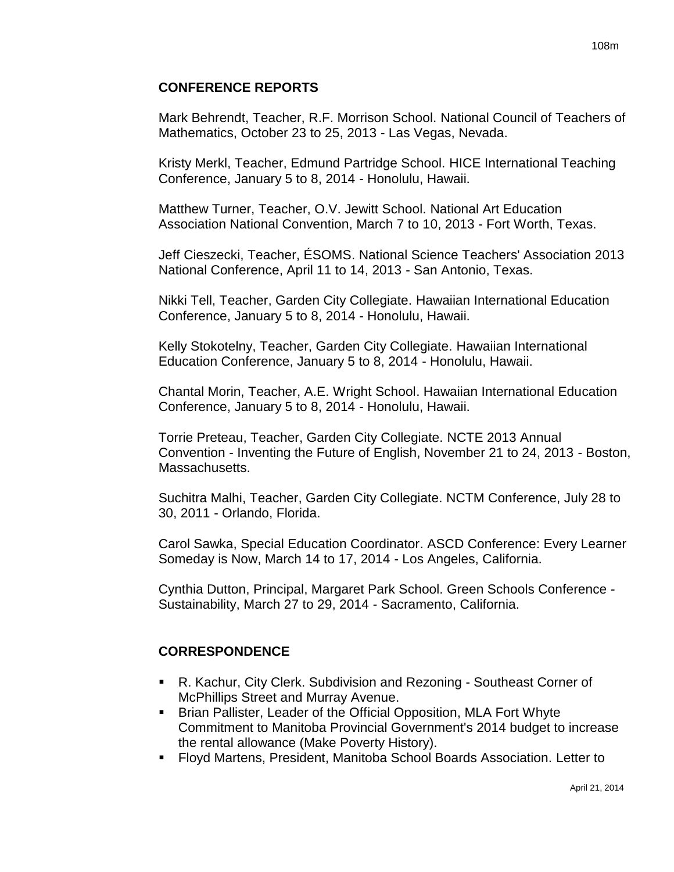## **CONFERENCE REPORTS**

Mark Behrendt, Teacher, R.F. Morrison School. National Council of Teachers of Mathematics, October 23 to 25, 2013 - Las Vegas, Nevada.

Kristy Merkl, Teacher, Edmund Partridge School. HICE International Teaching Conference, January 5 to 8, 2014 - Honolulu, Hawaii.

Matthew Turner, Teacher, O.V. Jewitt School. National Art Education Association National Convention, March 7 to 10, 2013 - Fort Worth, Texas.

Jeff Cieszecki, Teacher, ÉSOMS. National Science Teachers' Association 2013 National Conference, April 11 to 14, 2013 - San Antonio, Texas.

Nikki Tell, Teacher, Garden City Collegiate. Hawaiian International Education Conference, January 5 to 8, 2014 - Honolulu, Hawaii.

Kelly Stokotelny, Teacher, Garden City Collegiate. Hawaiian International Education Conference, January 5 to 8, 2014 - Honolulu, Hawaii.

Chantal Morin, Teacher, A.E. Wright School. Hawaiian International Education Conference, January 5 to 8, 2014 - Honolulu, Hawaii.

Torrie Preteau, Teacher, Garden City Collegiate. NCTE 2013 Annual Convention - Inventing the Future of English, November 21 to 24, 2013 - Boston, Massachusetts.

Suchitra Malhi, Teacher, Garden City Collegiate. NCTM Conference, July 28 to 30, 2011 - Orlando, Florida.

Carol Sawka, Special Education Coordinator. ASCD Conference: Every Learner Someday is Now, March 14 to 17, 2014 - Los Angeles, California.

Cynthia Dutton, Principal, Margaret Park School. Green Schools Conference - Sustainability, March 27 to 29, 2014 - Sacramento, California.

## **CORRESPONDENCE**

- R. Kachur, City Clerk. Subdivision and Rezoning Southeast Corner of McPhillips Street and Murray Avenue.
- Brian Pallister, Leader of the Official Opposition, MLA Fort Whyte Commitment to Manitoba Provincial Government's 2014 budget to increase the rental allowance (Make Poverty History).
- Floyd Martens, President, Manitoba School Boards Association. Letter to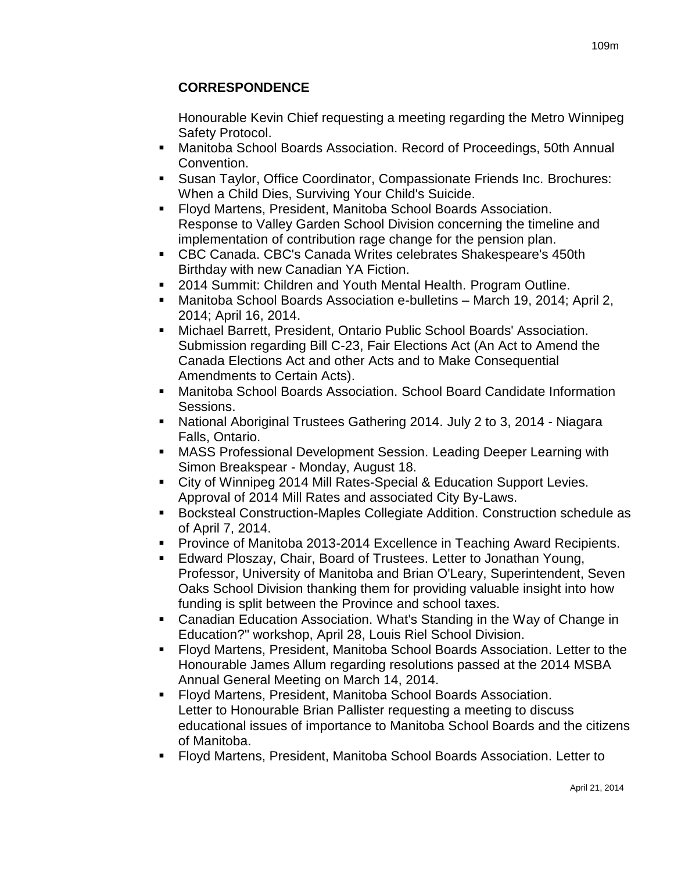## **CORRESPONDENCE**

Honourable Kevin Chief requesting a meeting regarding the Metro Winnipeg Safety Protocol.

- Manitoba School Boards Association. Record of Proceedings, 50th Annual Convention.
- Susan Taylor, Office Coordinator, Compassionate Friends Inc. Brochures: When a Child Dies, Surviving Your Child's Suicide.
- Floyd Martens, President, Manitoba School Boards Association. Response to Valley Garden School Division concerning the timeline and implementation of contribution rage change for the pension plan.
- CBC Canada. CBC's Canada Writes celebrates Shakespeare's 450th Birthday with new Canadian YA Fiction.
- 2014 Summit: Children and Youth Mental Health. Program Outline.
- Manitoba School Boards Association e-bulletins March 19, 2014; April 2, 2014; April 16, 2014.
- Michael Barrett, President, Ontario Public School Boards' Association. Submission regarding Bill C-23, Fair Elections Act (An Act to Amend the Canada Elections Act and other Acts and to Make Consequential Amendments to Certain Acts).
- Manitoba School Boards Association. School Board Candidate Information Sessions.
- National Aboriginal Trustees Gathering 2014. July 2 to 3, 2014 Niagara Falls, Ontario.
- MASS Professional Development Session. Leading Deeper Learning with Simon Breakspear - Monday, August 18.
- City of Winnipeg 2014 Mill Rates-Special & Education Support Levies. Approval of 2014 Mill Rates and associated City By-Laws.
- Bocksteal Construction-Maples Collegiate Addition. Construction schedule as of April 7, 2014.
- **Province of Manitoba 2013-2014 Excellence in Teaching Award Recipients.**
- Edward Ploszay, Chair, Board of Trustees. Letter to Jonathan Young, Professor, University of Manitoba and Brian O'Leary, Superintendent, Seven Oaks School Division thanking them for providing valuable insight into how funding is split between the Province and school taxes.
- Canadian Education Association. What's Standing in the Way of Change in Education?" workshop, April 28, Louis Riel School Division.
- Floyd Martens, President, Manitoba School Boards Association. Letter to the Honourable James Allum regarding resolutions passed at the 2014 MSBA Annual General Meeting on March 14, 2014.
- Floyd Martens, President, Manitoba School Boards Association. Letter to Honourable Brian Pallister requesting a meeting to discuss educational issues of importance to Manitoba School Boards and the citizens of Manitoba.
- Floyd Martens, President, Manitoba School Boards Association. Letter to